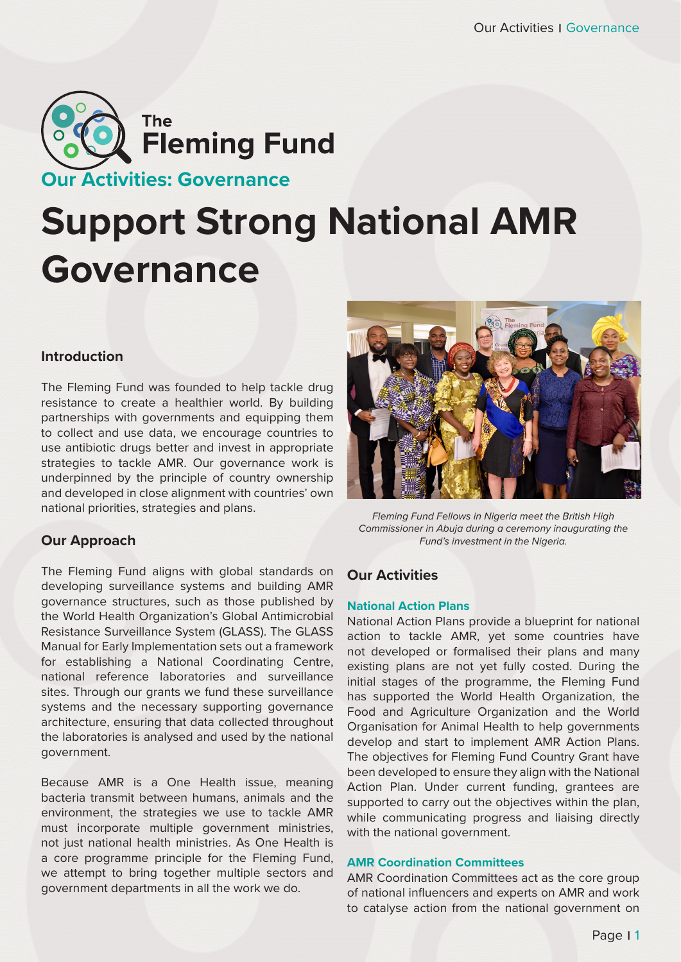

# **Support Strong National AMR Governance**

## **Introduction**

The Fleming Fund was founded to help tackle drug resistance to create a healthier world. By building partnerships with governments and equipping them to collect and use data, we encourage countries to use antibiotic drugs better and invest in appropriate strategies to tackle AMR. Our governance work is underpinned by the principle of country ownership and developed in close alignment with countries' own national priorities, strategies and plans.

## **Our Approach**

The Fleming Fund aligns with global standards on developing surveillance systems and building AMR governance structures, such as those published by the World Health Organization's Global Antimicrobial Resistance Surveillance System (GLASS). The GLASS Manual for Early Implementation sets out a framework for establishing a National Coordinating Centre, national reference laboratories and surveillance sites. Through our grants we fund these surveillance systems and the necessary supporting governance architecture, ensuring that data collected throughout the laboratories is analysed and used by the national government.

Because AMR is a One Health issue, meaning bacteria transmit between humans, animals and the environment, the strategies we use to tackle AMR must incorporate multiple government ministries, not just national health ministries. As One Health is a core programme principle for the Fleming Fund, we attempt to bring together multiple sectors and government departments in all the work we do.



*Fleming Fund Fellows in Nigeria meet the British High Commissioner in Abuja during a ceremony inaugurating the Fund's investment in the Nigeria.*

## **Our Activities**

## **National Action Plans**

National Action Plans provide a blueprint for national action to tackle AMR, yet some countries have not developed or formalised their plans and many existing plans are not yet fully costed. During the initial stages of the programme, the Fleming Fund has supported the World Health Organization, the Food and Agriculture Organization and the World Organisation for Animal Health to help governments develop and start to implement AMR Action Plans. The objectives for Fleming Fund Country Grant have been developed to ensure they align with the National Action Plan. Under current funding, grantees are supported to carry out the objectives within the plan, while communicating progress and liaising directly with the national government.

## **AMR Coordination Committees**

AMR Coordination Committees act as the core group of national influencers and experts on AMR and work to catalyse action from the national government on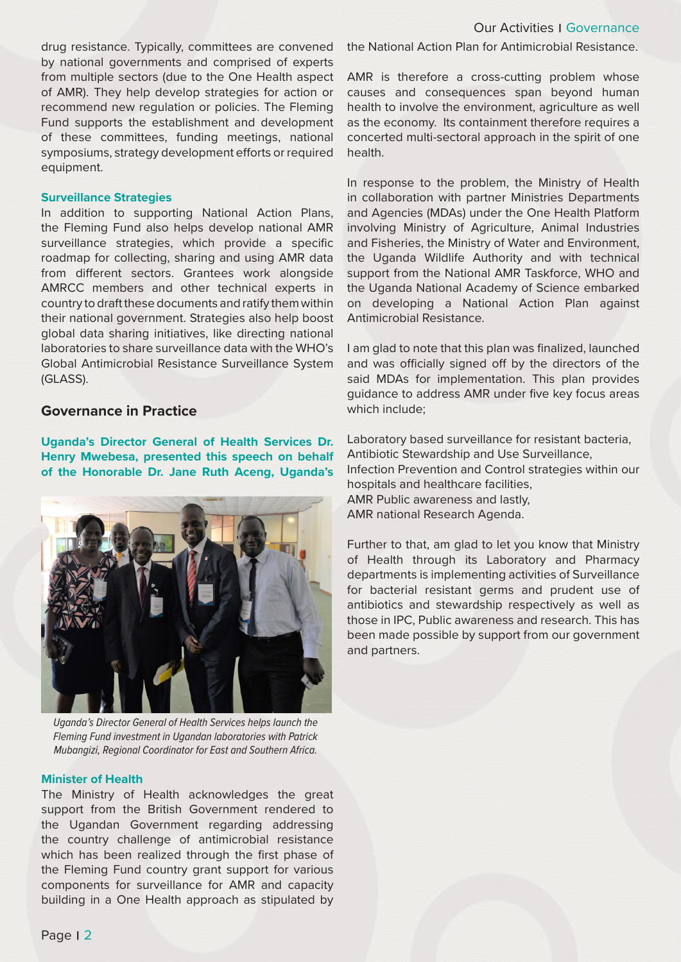### Our Activities | Governance

drug resistance. Typically, committees are convened by national governments and comprised of experts from multiple sectors (due to the One Health aspect of AMR). They help develop strategies for action or recommend new regulation or policies. The Fleming Fund supports the establishment and development of these committees, funding meetings, national symposiums, strategy development efforts or required equipment.

#### **Surveillance Strategies**

In addition to supporting National Action Plans, the Fleming Fund also helps develop national AMR surveillance strategies, which provide a specific roadmap for collecting, sharing and using AMR data from different sectors. Grantees work alongside AMRCC members and other technical experts in country to draft these documents and ratify them within their national government. Strategies also help boost global data sharing initiatives, like directing national laboratories to share surveillance data with the WHO's Global Antimicrobial Resistance Surveillance System (GLASS).

#### **Governance in Practice**

**Uganda's Director General of Health Services Dr. Henry Mwebesa, presented this speech on behalf of the Honorable Dr. Jane Ruth Aceng, Uganda's** 



*Uganda's Director General of Health Services helps launch the Fleming Fund investment in Ugandan laboratories with Patrick Mubangizi, Regional Coordinator for East and Southern Africa.* 

#### **Minister of Health**

The Ministry of Health acknowledges the great support from the British Government rendered to the Ugandan Government regarding addressing the country challenge of antimicrobial resistance which has been realized through the first phase of the Fleming Fund country grant support for various components for surveillance for AMR and capacity building in a One Health approach as stipulated by

the National Action Plan for Antimicrobial Resistance.

AMR is therefore a cross-cutting problem whose causes and consequences span beyond human health to involve the environment, agriculture as well as the economy. Its containment therefore requires a concerted multi-sectoral approach in the spirit of one health.

In response to the problem, the Ministry of Health in collaboration with partner Ministries Departments and Agencies (MDAs) under the One Health Platform involving Ministry of Agriculture, Animal Industries and Fisheries, the Ministry of Water and Environment, the Uganda Wildlife Authority and with technical support from the National AMR Taskforce, WHO and the Uganda National Academy of Science embarked on developing a National Action Plan against Antimicrobial Resistance.

I am glad to note that this plan was finalized, launched and was officially signed off by the directors of the said MDAs for implementation. This plan provides guidance to address AMR under five key focus areas which include;

Laboratory based surveillance for resistant bacteria, Antibiotic Stewardship and Use Surveillance, Infection Prevention and Control strategies within our hospitals and healthcare facilities, AMR Public awareness and lastly, AMR national Research Agenda.

Further to that, am glad to let you know that Ministry of Health through its Laboratory and Pharmacy departments is implementing activities of Surveillance for bacterial resistant germs and prudent use of antibiotics and stewardship respectively as well as those in IPC, Public awareness and research. This has been made possible by support from our government and partners.